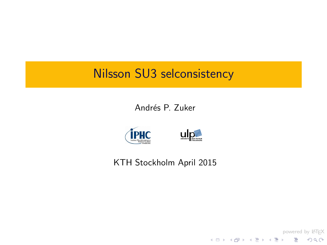## Nilsson SU3 selconsistency

Andrés P. Zuker



#### <span id="page-0-0"></span>KTH Stockholm April 2015

ulp∰

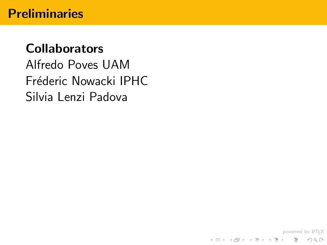# **Collaborators** Alfredo Poves UAM Fréderic Nowacki IPHC Silvia Lenzi Padova

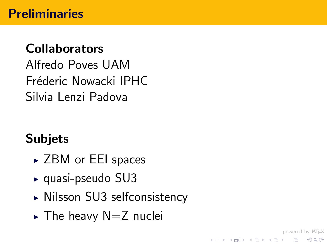## Collaborators

Alfredo Poves UAM Fréderic Nowacki IPHC Silvia Lenzi Padova

# **Subjets**

- ► ZBM or EEI spaces
- $\blacktriangleright$  quasi-pseudo SU3
- ► Nilsson SU3 selfconsistency

powered by LATEX

 $\equiv$   $\Omega$ 

イロト イ押ト イヨト イヨト

 $\triangleright$  The heavy N=Z nuclei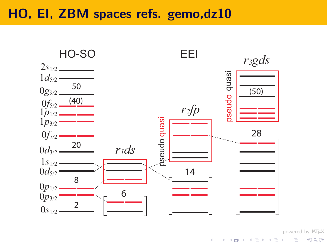#### HO, EI, ZBM spaces refs. gemo,dz10



powered by LAT<sub>E</sub>X ŧ

 $2Q$ 

イロト イ部 トイをトイをト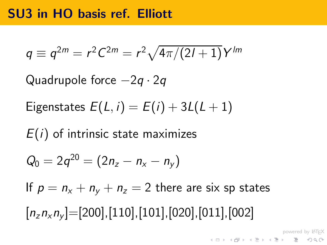#### SU3 in HO basis ref. Elliott

$$
q \equiv q^{2m} = r^2 C^{2m} = r^2 \sqrt{4\pi/(2l+1)} Y^{lm}
$$

Quadrupole force  $-2q \cdot 2q$ 

Eigenstates 
$$
E(L, i) = E(i) + 3L(L+1)
$$

 $E(i)$  of intrinsic state maximizes

$$
Q_0 = 2q^{20} = (2n_z - n_x - n_y)
$$

If  $p = n_x + n_y + n_z = 2$  there are six sp states

powered by LATEX

 $[n_z n_x n_y] = [200], [110], [101], [020], [011], [002]$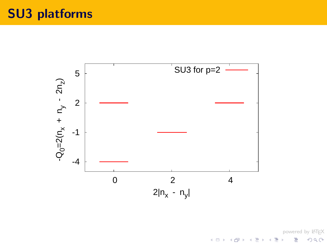

powered by <mark>ATEX</mark><br>タクター ラー・ミット ミュート ŧ  $2Q$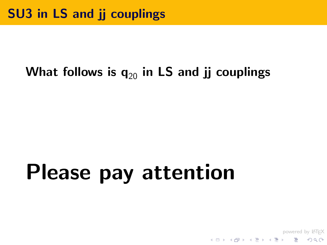## What follows is  $q_{20}$  in LS and jj couplings

# Please pay attention

powered by LAT<sub>E</sub>X<br>タクター - キミ・キミ・キー - カタク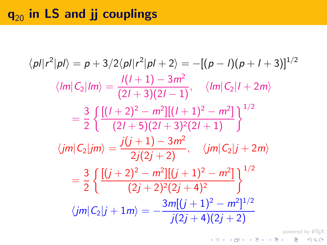## $q_{20}$  in LS and jj couplings

$$
\langle p| |r^2 |p| \rangle = p + 3/2 \langle p| |r^2 |p| + 2 \rangle = -[(p - 1)(p + 1 + 3)]^{1/2}
$$
  

$$
\langle lm| C_2 |lm \rangle = \frac{I(I + 1) - 3m^2}{(2I + 3)(2I - 1)}, \quad \langle lm| C_2 | I + 2m \rangle
$$
  

$$
= \frac{3}{2} \left\{ \frac{[(I + 2)^2 - m^2][(I + 1)^2 - m^2]}{(2I + 5)(2I + 3)^2(2I + 1)} \right\}^{1/2}
$$
  

$$
\langle jm| C_2 |jm \rangle = \frac{j(j + 1) - 3m^2}{2j(2j + 2)}, \quad \langle jm| C_2 | j + 2m \rangle
$$
  

$$
= \frac{3}{2} \left\{ \frac{[(j + 2)^2 - m^2][(j + 1)^2 - m^2]}{(2j + 2)^2(2j + 4)^2} \right\}^{1/2}
$$
  

$$
\langle jm| C_2 |j + 1m \rangle = -\frac{3m[(j + 1)^2 - m^2]^{1/2}}{j(2j + 4)(2j + 2)}
$$

powered by LAT<sub>E</sub>X<br>◇ 오오 - 를 - 시름 > 시름 > 시대 + 모 >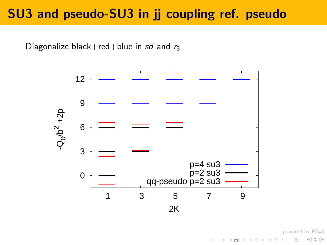## SU3 and pseudo-SU3 in jj coupling ref. pseudo

Diagonalize black+red+blue in sd and  $r_3$ 



powered by LATEX

 $\Omega$ 

 $A \equiv \mathbf{1} \times \mathbf{1} + \mathbf{1} \oplus \mathbf{1} \times \mathbf{1} + \mathbf{1} \oplus \mathbf{1} \oplus \mathbf{1} + \mathbf{1} \oplus \mathbf{1}$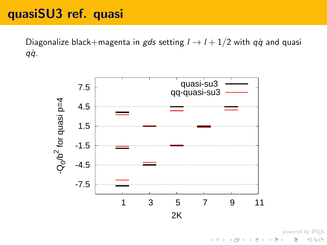## quasiSU3 ref. quasi

Diagonalize black+magenta in gds setting  $l \rightarrow l + 1/2$  with  $q\dot{q}$  and quasi qq˙ .



powered by LATEX ミー

 $2Q$ 

イロト イ部 トイモト イモト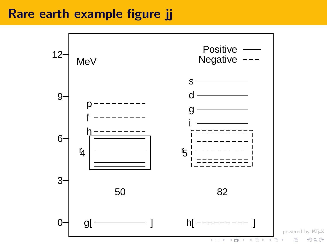## Rare earth example figure jj

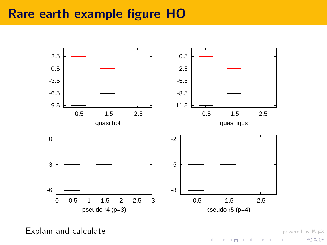#### Rare earth example figure HO



<span id="page-11-0"></span>Explain and calculate

powered by LAT<sub>E</sub>X

≣

 $OQ$ 

イロト イ部 トイモト イモ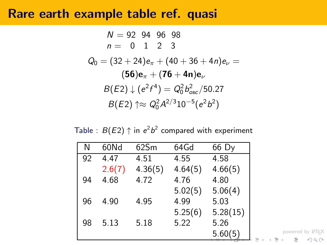#### Rare earth example table ref. quasi

$$
N = 92 \t94 \t96 \t98
$$
  
\n
$$
n = 0 \t1 \t2 \t3
$$
  
\n
$$
Q_0 = (32 + 24)e_{\pi} + (40 + 36 + 4n)e_{\nu} =
$$
  
\n
$$
(56)e_{\pi} + (76 + 4n)e_{\nu}
$$
  
\n
$$
B(E2) \downarrow (e^{2}f^4) = Q_0^2 b_{osc}^2 / 50.27
$$
  
\n
$$
B(E2) \uparrow \approx Q_0^2 A^{2/3} 10^{-5} (e^{2}b^2)
$$

Table :  $B(E2)\uparrow$  in  $e^2b^2$  compared with experiment

<span id="page-12-0"></span>

| N  | 60Nd   | 62Sm    | 64Gd    | 66 Dy    |                                             |
|----|--------|---------|---------|----------|---------------------------------------------|
| 92 | 4.47   | 4.51    | 4.55    | 4.58     |                                             |
|    | 2.6(7) | 4.36(5) | 4.64(5) | 4.66(5)  |                                             |
| 94 | 4.68   | 4.72    | 4.76    | 4.80     |                                             |
|    |        |         | 5.02(5) | 5.06(4)  |                                             |
| 96 | 4.90   | 4.95    | 4.99    | 5.03     |                                             |
|    |        |         | 5.25(6) | 5.28(15) |                                             |
| 98 | 5.13   | 5.18    | 5.22    | 5.26     |                                             |
|    |        |         |         | 5.60(5)  | powered by LATEX<br>Ξŀ<br>造<br>K 로 베<br>200 |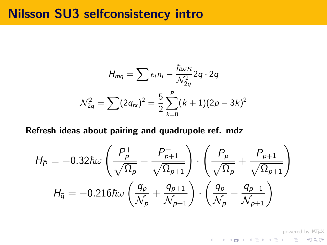#### Nilsson SU3 selfconsistency intro

$$
H_{mq} = \sum \epsilon_i n_i - \frac{\hbar \omega \kappa}{\mathcal{N}_{2q}^2} 2q \cdot 2q
$$

$$
\mathcal{N}_{2q}^2 = \sum (2q_{rs})^2 = \frac{5}{2} \sum_{k=0}^p (k+1)(2p-3k)^2
$$

#### Refresh ideas about pairing and quadrupole ref. mdz

<span id="page-13-0"></span>
$$
H_{\bar{P}} = -0.32\hbar\omega \left(\frac{P_p^+}{\sqrt{\Omega_p}} + \frac{P_{p+1}^+}{\sqrt{\Omega_{p+1}}}\right) \cdot \left(\frac{P_p^-}{\sqrt{\Omega_p}} + \frac{P_{p+1}^-}{\sqrt{\Omega_{p+1}}}\right)
$$

$$
H_{\bar{q}} = -0.216\hbar\omega \left(\frac{q_p^-}{N_p} + \frac{q_{p+1}^-}{N_{p+1}}\right) \cdot \left(\frac{q_p^-}{N_p} + \frac{q_{p+1}^-}{N_{p+1}}\right)
$$

powered by AT<sub>E</sub>X<br>タクページ メミトメミトメロト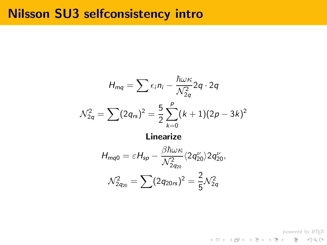#### Nilsson SU3 selfconsistency intro

$$
H_{mq} = \sum \epsilon_i n_i - \frac{\hbar \omega \kappa}{N_{2q}^2} 2q \cdot 2q
$$

$$
N_{2q}^2 = \sum (2q_{rs})^2 = \frac{5}{2} \sum_{k=0}^p (k+1)(2p-3k)^2
$$

#### Linearize

$$
H_{mq0} = \varepsilon H_{sp} - \frac{\beta \hbar \omega \kappa}{\mathcal{N}_{2q_{20}}^2} \langle 2q_{20}^{\nu} \rangle 2q_{20}^{\nu},
$$
  

$$
\mathcal{N}_{2q_{20}}^2 = \sum (2q_{20rs})^2 = \frac{2}{5} \mathcal{N}_{2q}^2
$$

powered by LAT<sub>E</sub>X<br>タクター ミー・ラ・イミ・イロー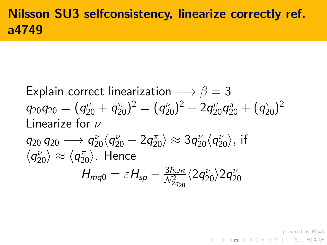## Nilsson SU3 selfconsistency, linearize correctly ref. a4749

Explain correct linearization  $\longrightarrow \beta = 3$  $q_{20}q_{20}=(q_{20}^\nu+q_{20}^\pi)^2=(q_{20}^\nu)^2+2q_{20}^\nu q_{20}^\pi+(q_{20}^\pi)^2$ Linearize for  $\nu$  $q_{20} \to q_{20}^\nu \langle q_{20}^\nu + 2 q_{20}^\pi \rangle \approx 3 q_{20}^\nu \langle q_{20}^\nu \rangle,$  if  $\langle q_{20}^\nu \rangle \approx \langle q_{20}^\pi \rangle$ . Hence  $H_{mq0} = \varepsilon H_{sp} - \frac{3\hbar\omega\kappa}{\mathcal{N}_{2q_{20}}^2}$  $\frac{3\hbar\omega\kappa}{\mathcal{N}^2_{2q_{20}}} \langle2q_{20}^\nu\rangle2q_2^\nu$ 20

powered by LAT<sub>E</sub>X<br>◇少ぐ 喜 ィミ・ <雪 > <電 > <ロ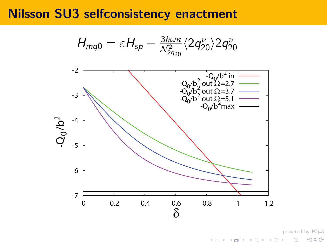#### Nilsson SU3 selfconsistency enactment

$$
H_{mq0}=\varepsilon H_{sp}-\tfrac{3\hbar\omega\kappa}{\mathcal{N}_{2q_{20}}^2}\langle 2q_{20}^\nu\rangle 2q_{20}^\nu
$$



powered by LAT<sub>E</sub>X Ε

 $2Q$ 

K ロ ▶ K 御 ▶ K 君 ▶ K 君 ▶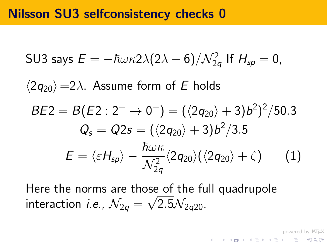#### Nilsson SU3 selfconsistency checks 0

SU3 says 
$$
E = -\hbar \omega \kappa 2\lambda (2\lambda + 6)/\mathcal{N}_{2q}^2
$$
 If  $H_{sp} = 0$ ,  
\n $\langle 2q_{20} \rangle = 2\lambda$ . Assume form of *E* holds  
\n
$$
BE2 = B(E2 : 2^+ \rightarrow 0^+) = (\langle 2q_{20} \rangle + 3)b^2 \rangle^2 / 50.3
$$
\n
$$
Q_s = Q2s = (\langle 2q_{20} \rangle + 3)b^2 / 3.5
$$
\n
$$
E = \langle \varepsilon H_{sp} \rangle - \frac{\hbar \omega \kappa}{\mathcal{N}_{2q}^2} \langle 2q_{20} \rangle (\langle 2q_{20} \rangle + \zeta) \qquad (1)
$$

Here the norms are those of the full quadrupole interaction *i.e.*,  $\mathcal{N}_{2q} = \sqrt{2.5} \mathcal{N}_{2q20}$ .

powered by LATEX

<span id="page-17-0"></span> $\equiv$  990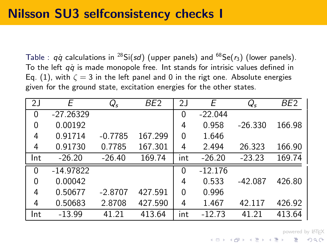Table :  $q\dot{q}$  calculations in <sup>28</sup>Si(sd) (upper panels) and <sup>68</sup>Se( $r_3$ ) (lower panels). To the left  $q\dot{q}$  is made monopole free. Int stands for intrisic values defined in Eq. [\(1\)](#page-17-0), with  $\zeta = 3$  in the left panel and 0 in the rigt one. Absolute energies given for the ground state, excitation energies for the other states.

| 2J       | F           | $Q_{\mathsf{s}}$ | BE <sub>2</sub> | 2J  | Е         | $Q_{s}$   | BE <sub>2</sub> |
|----------|-------------|------------------|-----------------|-----|-----------|-----------|-----------------|
| 0        | $-27.26329$ |                  |                 | 0   | $-22.044$ |           |                 |
| $\Omega$ | 0.00192     |                  |                 | 4   | 0.958     | $-26.330$ | 166.98          |
| 4        | 0.91714     | $-0.7785$        | 167.299         | 0   | 1.646     |           |                 |
| 4        | 0.91730     | 0.7785           | 167.301         | 4   | 2.494     | 26.323    | 166.90          |
| Int      | $-26.20$    | $-26.40$         | 169.74          | int | $-26.20$  | $-23.23$  | 169.74          |
| $\Omega$ | $-14.97822$ |                  |                 | 0   | $-12.176$ |           |                 |
| 0        | 0.00042     |                  |                 | 4   | 0.533     | $-42.087$ | 426.80          |
| 4        | 0.50677     | $-2.8707$        | 427.591         | 0   | 0.996     |           |                 |
| 4        | 0.50683     | 2.8708           | 427.590         | 4   | 1.467     | 42.117    | 426.92          |
| Int      | $-13.99$    | 41.21            | 413.64          | int | $-12.73$  | 41.21     | 413.64          |

powered by LATEX<br>◇ 이오어 - 의 - 세트 > 세트 > 시대 > 시대 >  $\equiv$  990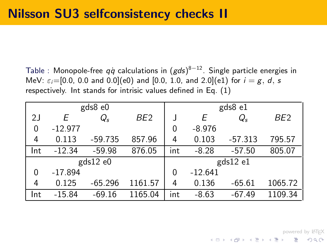Table : Monopole-free  $q\dot{q}$  calculations in  $(gd\mathsf{s})^{8-12}.$  Single particle energies in MeV:  $\varepsilon_i = [0.0, 0.0 \text{ and } 0.0]$ (e0) and [0.0, 1.0, and 2.0](e1) for  $i = g, d, s$ respectively. Int stands for intrisic values defined in Eq. [\(1\)](#page-17-0)

|                |           | gds8 e0       |                 |     |           | gds8 e1   |                 |
|----------------|-----------|---------------|-----------------|-----|-----------|-----------|-----------------|
| 2J             | F         | $Q_{s}$       | BE <sub>2</sub> |     | Е         | $Q_{s}$   | BE <sub>2</sub> |
| $\overline{0}$ | $-12.977$ |               |                 | 0   | $-8.976$  |           |                 |
| 4              | 0.113     | $-59.735$     | 857.96          | 4   | 0.103     | $-57.313$ | 795.57          |
| Int            | $-12.34$  | $-59.98$      | 876.05          | int | $-8.28$   | $-57.50$  | 805.07          |
|                |           | $gds12$ e $0$ |                 |     |           | gds12 e1  |                 |
| $\Omega$       | $-17.894$ |               |                 | 0   | $-12.641$ |           |                 |
| 4              | 0.125     | $-65.296$     | 1161.57         | 4   | 0.136     | $-65.61$  | 1065.72         |
| Int            | $-15.84$  | $-69.16$      | 1165.04         | int | $-8.63$   | $-67.49$  | 1109.34         |

powered by LATEX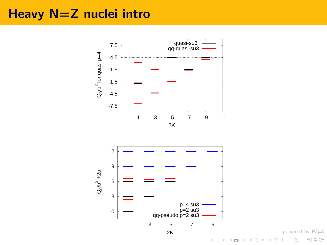### Heavy N=Z nuclei intro



powered by LAT<sub>E</sub>X ŧ

 $2Q$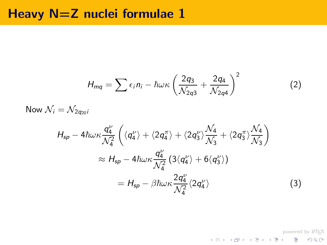#### Heavy N=Z nuclei formulae 1

$$
H_{mq} = \sum \epsilon_i n_i - \hbar \omega \kappa \left( \frac{2q_3}{\mathcal{N}_{2q3}} + \frac{2q_4}{\mathcal{N}_{2q4}} \right)^2 \tag{2}
$$

Now  $\mathcal{N}_i = \mathcal{N}_{2\sigma_{20}i}$ 

$$
H_{sp} - 4\hbar\omega\kappa \frac{q_4^{\nu}}{\mathcal{N}_4^2} \left( \langle q_4^{\nu} \rangle + \langle 2q_4^{\pi} \rangle + \langle 2q_3^{\nu} \rangle \frac{\mathcal{N}_4}{\mathcal{N}_3} + \langle 2q_3^{\pi} \rangle \frac{\mathcal{N}_4}{\mathcal{N}_3} \right)
$$
  

$$
\approx H_{sp} - 4\hbar\omega\kappa \frac{q_4^{\nu}}{\mathcal{N}_4^2} \left( 3 \langle q_4^{\nu} \rangle + 6 \langle q_3^{\nu} \rangle \right)
$$
  

$$
= H_{sp} - \beta\hbar\omega\kappa \frac{2q_4^{\nu}}{\mathcal{N}_4^2} \langle 2q_4^{\nu} \rangle \tag{3}
$$

powered by LAT<sub>E</sub>X<br>タクター ミー・ラ・イミ・イロー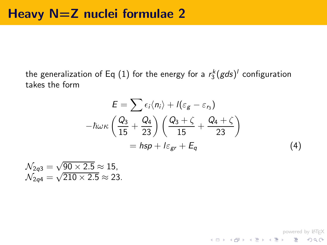the generalization of Eq  $(1)$  for the energy for a  $r_3^k(gds)^l$  configuration takes the form

$$
E = \sum \epsilon_i \langle n_i \rangle + l(\varepsilon_g - \varepsilon_{r_3})
$$

$$
-\hbar \omega \kappa \left(\frac{Q_3}{15} + \frac{Q_4}{23}\right) \left(\frac{Q_3 + \zeta}{15} + \frac{Q_4 + \zeta}{23}\right)
$$

$$
= \hbar s p + l \varepsilon_{gr} + E_q \tag{4}
$$

$$
\mathcal{N}_{2q3} = \sqrt{90 \times 2.5} \approx 15,
$$
  

$$
\mathcal{N}_{2q4} = \sqrt{210 \times 2.5} \approx 23.
$$

<span id="page-22-0"></span>powered by LAT<sub>E</sub>X<br>タクページ メミトメミト メラト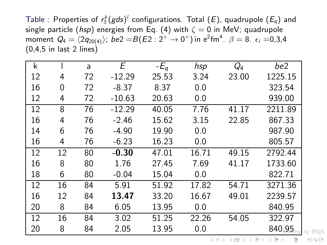Table : Properties of  $r_3^k(gds)^l$  configurations. Total  $(E)$ , quadrupole  $(E_q)$  and single particle (hsp) energies from Eq. [\(4\)](#page-22-0) with  $\zeta = 0$  in MeV; quadrupole moment  $Q_4 = \langle 2 q_{20(4)}\rangle;~be2 =$   $B(E2:2^+ \rightarrow 0^+)$  in  ${\rm e}^2 {\rm fm}^4$ .  $\beta =$  8.  $\epsilon_i =$ 0,3,4 (0,4,5 in last 2 lines)

|    | a  | E        | $-E_q$ | hsp   | $Q_4$ | be2     |          |
|----|----|----------|--------|-------|-------|---------|----------|
| 4  | 72 | $-12.29$ | 25.53  | 3.24  | 23.00 | 1225.15 |          |
| 0  | 72 | $-8.37$  | 8.37   | 0.0   |       | 323.54  |          |
| 4  | 72 | $-10.63$ | 20.63  | 0.0   |       | 939.00  |          |
| 8  | 76 | $-12.29$ | 40.05  | 7.76  | 41.17 | 2211.89 |          |
| 4  | 76 | $-2.46$  | 15.62  | 3.15  | 22.85 | 867.33  |          |
| 6  | 76 | $-4.90$  | 19.90  | 0.0   |       | 987.90  |          |
| 4  | 76 | $-6.23$  | 16.23  | 0.0   |       | 805.57  |          |
| 12 | 80 | $-0.30$  | 47.01  | 16.71 | 49.15 | 2792.44 |          |
| 8  | 80 | 1.76     | 27.45  | 7.69  | 41.17 | 1733.60 |          |
| 6  | 80 | $-0.04$  | 15.04  | 0.0   |       | 822.71  |          |
| 16 | 84 | 5.91     | 51.92  | 17.82 | 54.71 | 3271.36 |          |
| 12 | 84 | 13.47    | 33.20  | 16.67 | 49.01 | 2239.57 |          |
| 8  | 84 | 6.05     | 13.95  | 0.0   |       | 840.95  |          |
| 16 | 84 | 3.02     | 51.25  | 22.26 | 54.05 | 322.97  |          |
| 8  | 84 | 2.05     | 13.95  | 0.0   |       | 840.95  | by IATEX |
|    |    |          |        |       |       |         |          |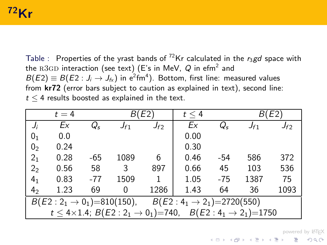## $72$ Kr

Table : Properties of the yrast bands of <sup>72</sup>Kr calculated in the r<sub>3</sub>gd space with the  $\rm R3GD$  interaction (see text) (E's in MeV,  $\it Q$  in efm $^2$  and  $B(E2)\equiv B(E2:J_{i}\rightarrow J_{\text{fx}})$  in e $^{2}\text{fm}^{4}$ ). Bottom, first line: measured values from  $kr72$  (error bars subject to caution as explained in text), second line:  $t < 4$  results boosted as explained in the text.

|                                                                                      | $t=4$                                                                                           | E2    |          |          | $t \leq 4$ |         |          | E <sub>2</sub> |  |
|--------------------------------------------------------------------------------------|-------------------------------------------------------------------------------------------------|-------|----------|----------|------------|---------|----------|----------------|--|
|                                                                                      | Ex                                                                                              | Q,    | $J_{f1}$ | $J_{f2}$ | Ex         | $Q_{s}$ | $J_{f1}$ | $J_{f2}$       |  |
| 01                                                                                   | 0.0                                                                                             |       |          |          | 0.00       |         |          |                |  |
| 0 <sub>2</sub>                                                                       | 0.24                                                                                            |       |          |          | 0.30       |         |          |                |  |
| 2 <sub>1</sub>                                                                       | 0.28                                                                                            | $-65$ | 1089     | 6        | 0.46       | -54     | 586      | 372            |  |
| 2 <sub>2</sub>                                                                       | 0.56                                                                                            | 58    | 3        | 897      | 0.66       | 45      | 103      | 536            |  |
| 4 <sub>1</sub>                                                                       | 0.83                                                                                            | $-77$ | 1509     |          | 1.05       | $-75$   | 1387     | 75             |  |
| 4 <sub>2</sub>                                                                       | 1.23                                                                                            | 69    | 0        | 1286     | 1.43       | 64      | 36       | 1093           |  |
| $B(E2:2_1 \rightarrow 0_1) = 810(150), \qquad B(E2:4_1 \rightarrow 2_1) = 2720(550)$ |                                                                                                 |       |          |          |            |         |          |                |  |
|                                                                                      | $t \leq 4 \times 1.4$ ; $B(E2:2_1 \rightarrow 0_1) = 740$ ,<br>$B(E2:4_1 \rightarrow 2_1)=1750$ |       |          |          |            |         |          |                |  |

powered by LAT<sub>E</sub>X<br>◇ 오오 - 홍 - ◀ 홍 ▶ ◀ 홍 ▶ ◀ 출 ▶ ◀ ਥ ▶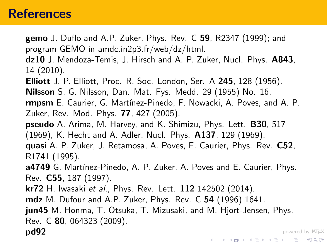#### **References**

- gemo J. Duflo and A.P. Zuker, Phys. Rev. C 59, R2347 (1999); and program GEMO in amdc.in2p3.fr/web/dz/html.
- dz10 J. Mendoza-Temis, J. Hirsch and A. P. Zuker, Nucl. Phys. A843, 14 (2010).
- Elliott J. P. Elliott, Proc. R. Soc. London, Ser. A 245, 128 (1956).
- Nilsson S. G. Nilsson, Dan. Mat. Fys. Medd. 29 (1955) No. 16.
- rmpsm E. Caurier, G. Martínez-Pinedo, F. Nowacki, A. Poves, and A. P. Zuker, Rev. Mod. Phys. 77, 427 (2005).
- pseudo A. Arima, M. Harvey, and K. Shimizu, Phys. Lett. B30, 517 (1969), K. Hecht and A. Adler, Nucl. Phys. A137, 129 (1969).
- quasi A. P. Zuker, J. Retamosa, A. Poves, E. Caurier, Phys. Rev. C52, R1741 (1995).
- a4749 G. Martínez-Pinedo, A. P. Zuker, A. Poves and E. Caurier, Phys. Rev. C55, 187 (1997).
- kr72 H. Iwasaki et al., Phys. Rev. Lett. 112 142502 (2014).
- mdz M. Dufour and A.P. Zuker, Phys. Rev. C 54 (1996) 1641.
- jun45 M. Honma, T. Otsuka, T. Mizusaki, and M. Hjort-Jensen, Phys. Rev. C 80, 064323 (2009).

powered by LATEX

pd92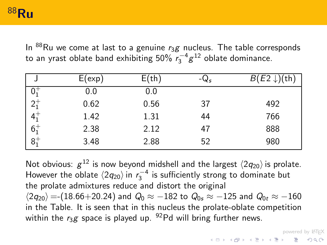In  ${}^{88}$ Ru we come at last to a genuine  $r_3$ g nucleus. The table corresponds to an yrast oblate band exhibiting  $50\% \ \overline{r_3}^{-4} g^{12}$  oblate dominance.

|                                                                                     | E(exp) | E(th) | $-Q_s$ | $B(E2 \downarrow)(th)$ |
|-------------------------------------------------------------------------------------|--------|-------|--------|------------------------|
|                                                                                     | 0.0    | 0.0   |        |                        |
| $2^{+}_{1}$<br>4 <sup>+</sup><br>6 <sup>+</sup><br>6 <sup>+</sup><br>8 <sup>+</sup> | 0.62   | 0.56  | 37     | 492                    |
|                                                                                     | 1.42   | 1.31  | 44     | 766                    |
|                                                                                     | 2.38   | 2.12  | 47     | 888                    |
|                                                                                     | 3.48   | 2.88  | 52     | 980                    |

<span id="page-26-0"></span>Not obvious:  $g^{12}$  is now beyond midshell and the largest  $\langle 2q_{20} \rangle$  is prolate. However the oblate  $\langle 2q_{20} \rangle$  in  $r_3^{-4}$  is sufficiently strong to dominate but the prolate admixtures reduce and distort the original  $\langle 2q_{20}\rangle$  =-(18.66+20.24) and  $Q_0\approx -182$  to  $Q_{0s}\approx -125$  and  $Q_{0t}\approx -160$ in the Table. It is seen that in this nucleus the prolate-oblate competition within the  $r_3g$  space is played up. <sup>92</sup>Pd will bring further news.

powered by LAT<sub>E</sub>X<br>◇ 오오 - 홍 - ◀ 홍 ▶ ◀ 홍 ▶ ◀ 출 ▶ ◀ ਥ ▶